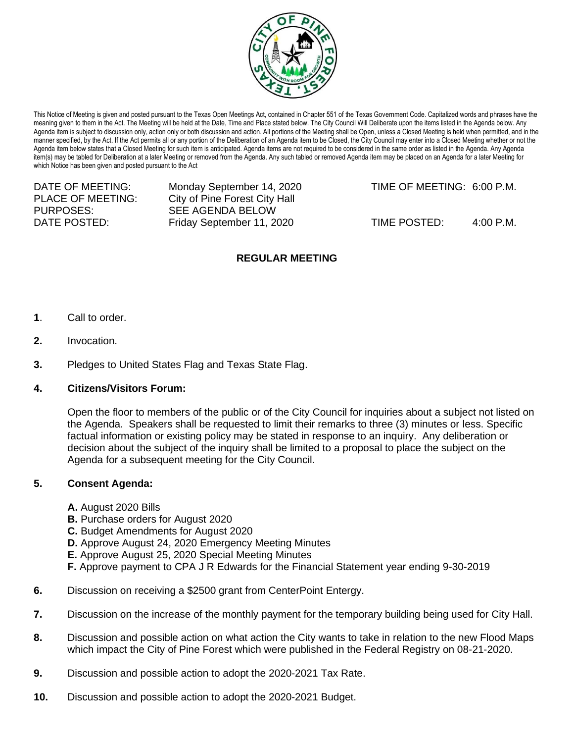

This Notice of Meeting is given and posted pursuant to the Texas Open Meetings Act, contained in Chapter 551 of the Texas Government Code. Capitalized words and phrases have the meaning given to them in the Act. The Meeting will be held at the Date, Time and Place stated below. The City Council Will Deliberate upon the items listed in the Agenda below. Any Agenda item is subject to discussion only, action only or both discussion and action. All portions of the Meeting shall be Open, unless a Closed Meeting is held when permitted, and in the manner specified, by the Act. If the Act permits all or any portion of the Deliberation of an Agenda item to be Closed, the City Council may enter into a Closed Meeting whether or not the Agenda item below states that a Closed Meeting for such item is anticipated. Agenda items are not required to be considered in the same order as listed in the Agenda. Any Agenda item(s) may be tabled for Deliberation at a later Meeting or removed from the Agenda. Any such tabled or removed Agenda item may be placed on an Agenda for a later Meeting for which Notice has been given and posted pursuant to the Act

| Monday September 14, 2020     | TIME OF MEETING: 6:00 P.M. |           |
|-------------------------------|----------------------------|-----------|
| City of Pine Forest City Hall |                            |           |
| SEE AGENDA BELOW              |                            |           |
| Friday September 11, 2020     | TIME POSTED:               | 4:00 P.M. |
|                               |                            |           |

## **REGULAR MEETING**

- **1**. Call to order.
- **2.** Invocation.
- **3.** Pledges to United States Flag and Texas State Flag.

## **4. Citizens/Visitors Forum:**

Open the floor to members of the public or of the City Council for inquiries about a subject not listed on the Agenda. Speakers shall be requested to limit their remarks to three (3) minutes or less. Specific factual information or existing policy may be stated in response to an inquiry. Any deliberation or decision about the subject of the inquiry shall be limited to a proposal to place the subject on the Agenda for a subsequent meeting for the City Council.

## **5. Consent Agenda:**

- **A.** August 2020 Bills
- **B.** Purchase orders for August 2020
- **C.** Budget Amendments for August 2020
- **D.** Approve August 24, 2020 Emergency Meeting Minutes
- **E.** Approve August 25, 2020 Special Meeting Minutes
- **F.** Approve payment to CPA J R Edwards for the Financial Statement year ending 9-30-2019
- **6.** Discussion on receiving a \$2500 grant from CenterPoint Entergy.
- **7.** Discussion on the increase of the monthly payment for the temporary building being used for City Hall.
- **8.** Discussion and possible action on what action the City wants to take in relation to the new Flood Maps which impact the City of Pine Forest which were published in the Federal Registry on 08-21-2020.
- **9.** Discussion and possible action to adopt the 2020-2021 Tax Rate.
- **10.** Discussion and possible action to adopt the 2020-2021 Budget.